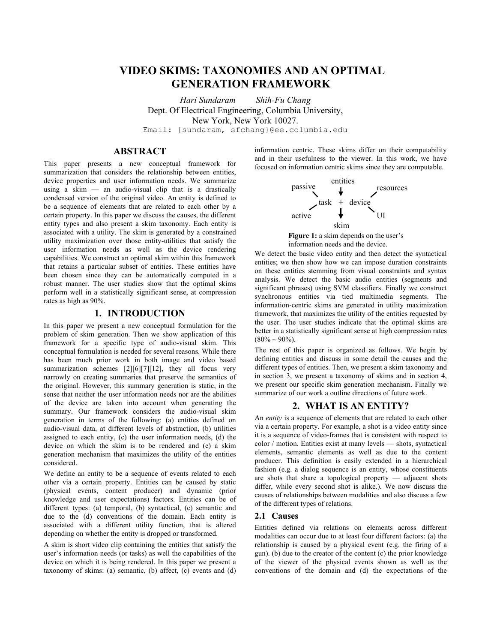# **VIDEO SKIMS: TAXONOMIES AND AN OPTIMAL GENERATION FRAMEWORK**

*Hari Sundaram Shih-Fu Chang*  Dept. Of Electrical Engineering, Columbia University, New York, New York 10027. Email: {sundaram, sfchang}@ee.columbia.edu

# **ABSTRACT**

This paper presents a new conceptual framework for summarization that considers the relationship between entities, device properties and user information needs. We summarize using  $\hat{a}$  skim  $\sim$  an audio-visual clip that is a drastically condensed version of the original video. An entity is defined to be a sequence of elements that are related to each other by a certain property. In this paper we discuss the causes, the different entity types and also present a skim taxonomy. Each entity is associated with a utility. The skim is generated by a constrained utility maximization over those entity-utilities that satisfy the user information needs as well as the device rendering capabilities. We construct an optimal skim within this framework that retains a particular subset of entities. These entities have been chosen since they can be automatically computed in a robust manner. The user studies show that the optimal skims perform well in a statistically significant sense, at compression rates as high as 90%.

# **1. INTRODUCTION**

In this paper we present a new conceptual formulation for the problem of skim generation. Then we show application of this framework for a specific type of audio-visual skim. This conceptual formulation is needed for several reasons. While there has been much prior work in both image and video based summarization schemes [2][6][7][12], they all focus very narrowly on creating summaries that preserve the semantics of the original. However, this summary generation is static, in the sense that neither the user information needs nor are the abilities of the device are taken into account when generating the summary. Our framework considers the audio-visual skim generation in terms of the following: (a) entities defined on audio-visual data, at different levels of abstraction, (b) utilities assigned to each entity, (c) the user information needs, (d) the device on which the skim is to be rendered and (e) a skim generation mechanism that maximizes the utility of the entities considered.

We define an entity to be a sequence of events related to each other via a certain property. Entities can be caused by static (physical events, content producer) and dynamic (prior knowledge and user expectations) factors. Entities can be of different types: (a) temporal, (b) syntactical, (c) semantic and due to the (d) conventions of the domain. Each entity is associated with a different utility function, that is altered depending on whether the entity is dropped or transformed.

A skim is short video clip containing the entities that satisfy the user's information needs (or tasks) as well the capabilities of the device on which it is being rendered. In this paper we present a taxonomy of skims: (a) semantic, (b) affect, (c) events and (d) information centric. These skims differ on their computability and in their usefulness to the viewer. In this work, we have focused on information centric skims since they are computable.





We detect the basic video entity and then detect the syntactical entities; we then show how we can impose duration constraints on these entities stemming from visual constraints and syntax analysis. We detect the basic audio entities (segments and significant phrases) using SVM classifiers. Finally we construct synchronous entities via tied multimedia segments. The information-centric skims are generated in utility maximization framework, that maximizes the utility of the entities requested by the user. The user studies indicate that the optimal skims are better in a statistically significant sense at high compression rates  $(80\% \sim 90\%)$ .

The rest of this paper is organized as follows. We begin by defining entities and discuss in some detail the causes and the different types of entities. Then, we present a skim taxonomy and in section  $\hat{3}$ , we present a taxonomy of skims and in section 4, we present our specific skim generation mechanism. Finally we summarize of our work a outline directions of future work.

# **2. WHAT IS AN ENTITY?**

An *entity* is a sequence of elements that are related to each other via a certain property. For example, a shot is a video entity since it is a sequence of video-frames that is consistent with respect to  $color /$  motion. Entities exist at many levels  $-$  shots, syntactical elements, semantic elements as well as due to the content producer. This definition is easily extended in a hierarchical fashion (e.g. a dialog sequence is an entity, whose constituents are shots that share a topological property  $-$  adjacent shots differ, while every second shot is alike.). We now discuss the causes of relationships between modalities and also discuss a few of the different types of relations.

#### **2.1 Causes**

Entities defined via relations on elements across different modalities can occur due to at least four different factors: (a) the relationship is caused by a physical event (e.g. the firing of a gun). (b) due to the creator of the content (c) the prior knowledge of the viewer of the physical events shown as well as the conventions of the domain and (d) the expectations of the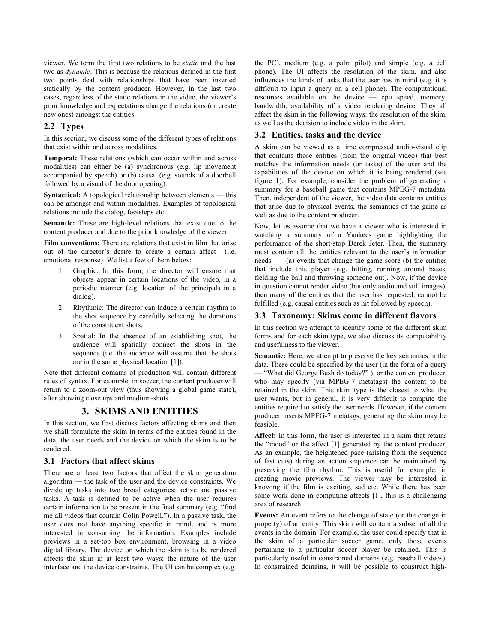viewer. We term the first two relations to be *static* and the last two as *dynamic*. This is because the relations defined in the first two points deal with relationships that have been inserted statically by the content producer. However, in the last two cases, regardless of the static relations in the video, the viewer's prior knowledge and expectations change the relations (or create new ones) amongst the entities.

#### **2.2 Types**

In this section, we discuss some of the different types of relations that exist within and across modalities.

**Temporal:** These relations (which can occur within and across modalities) can either be (a) synchronous (e.g. lip movement accompanied by speech) or (b) causal (e.g. sounds of a doorbell followed by a visual of the door opening).

**Syntactical:** A topological relationship between elements — this can be amongst and within modalities. Examples of topological relations include the dialog, footsteps etc.

**Semantic:** These are high-level relations that exist due to the content producer and due to the prior knowledge of the viewer.

**Film conventions:** There are relations that exist in film that arise out of the director's desire to create a certain affect (i.e. emotional response). We list a few of them below:

- 1. Graphic: In this form, the director will ensure that objects appear in certain locations of the video, in a periodic manner (e.g. location of the principals in a dialog).
- 2. Rhythmic: The director can induce a certain rhythm to the shot sequence by carefully selecting the durations of the constituent shots.
- 3. Spatial: In the absence of an establishing shot, the audience will spatially connect the shots in the sequence (i.e. the audience will assume that the shots are in the same physical location [1]).

Note that different domains of production will contain different rules of syntax. For example, in soccer, the content producer will return to a zoom-out view (thus showing a global game state), after showing close ups and medium-shots.

# **3. SKIMS AND ENTITIES**

In this section, we first discuss factors affecting skims and then we shall formulate the skim in terms of the entities found in the data, the user needs and the device on which the skim is to be rendered.

#### **3.1 Factors that affect skims**

There are at least two factors that affect the skim generation algorithm – the task of the user and the device constraints. We divide up tasks into two broad categories: active and passive tasks. A task is defined to be active when the user requires certain information to be present in the final summary (e.g. "find me all videos that contain Colin Powell."). In a passive task, the user does not have anything specific in mind, and is more interested in consuming the information. Examples include previews in a set-top box environment, browsing in a video digital library. The device on which the skim is to be rendered affects the skim in at least two ways: the nature of the user interface and the device constraints. The UI can be complex (e.g. the PC), medium (e.g. a palm pilot) and simple (e.g. a cell phone). The UI affects the resolution of the skim, and also influences the kinds of tasks that the user has in mind (e.g. it is difficult to input a query on a cell phone). The computational resources available on the device  $-$  cpu speed, memory, bandwidth, availability of a video rendering device. They all affect the skim in the following ways: the resolution of the skim, as well as the decision to include video in the skim.

#### **3.2 Entities, tasks and the device**

A skim can be viewed as a time compressed audio-visual clip that contains those entities (from the original video) that best matches the information needs (or tasks) of the user and the capabilities of the device on which it is being rendered (see figure 1). For example, consider the problem of generating a summary for a baseball game that contains MPEG-7 metadata. Then, independent of the viewer, the video data contains entities that arise due to physical events, the semantics of the game as well as due to the content producer.

Now, let us assume that we have a viewer who is interested in watching a summary of a Yankees game highlighting the performance of the short-stop Derek Jeter. Then, the summary must contain all the entities relevant to the user's information needs  $\overline{a}$  (a) events that change the game score (b) the entities that include this player (e.g. hitting, running around bases, fielding the ball and throwing someone out). Now, if the device in question cannot render video (but only audio and still images), then many of the entities that the user has requested, cannot be fulfilled (e.g. causal entities such as hit followed by speech).

#### **3.3 Taxonomy: Skims come in different flavors**

In this section we attempt to identify some of the different skim forms and for each skim type, we also discuss its computability and usefulness to the viewer.

**Semantic:** Here, we attempt to preserve the key semantics in the data. These could be specified by the user (in the form of a query — "What did George Bush do today?"), or the content producer, who may specify (via MPEG-7 metatags) the content to be retained in the skim. This skim type is the closest to what the user wants, but in general, it is very difficult to compute the entities required to satisfy the user needs. However, if the content producer inserts MPEG-7 metatags, generating the skim may be feasible.

**Affect:** In this form, the user is interested in a skim that retains the "mood" or the affect  $[1]$  generated by the content producer. As an example, the heightened pace (arising from the sequence of fast cuts) during an action sequence can be maintained by preserving the film rhythm. This is useful for example, in creating movie previews. The viewer may be interested in knowing if the film is exciting, sad etc. While there has been some work done in computing affects [1], this is a challenging area of research.

**Events:** An event refers to the change of state (or the change in property) of an entity. This skim will contain a subset of all the events in the domain. For example, the user could specify that in the skim of a particular soccer game, only those events pertaining to a particular soccer player be retained. This is particularly useful in constrained domains (e.g. baseball videos). In constrained domains, it will be possible to construct high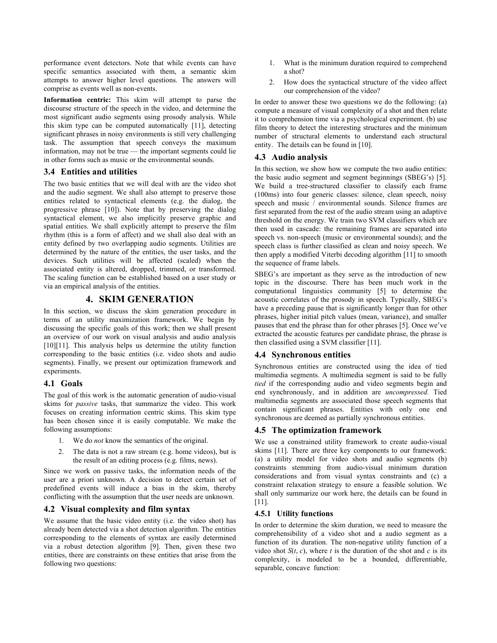performance event detectors. Note that while events can have specific semantics associated with them, a semantic skim attempts to answer higher level questions. The answers will comprise as events well as non-events.

**Information centric:** This skim will attempt to parse the discourse structure of the speech in the video, and determine the most significant audio segments using prosody analysis. While this skim type can be computed automatically [11], detecting significant phrases in noisy environments is still very challenging task. The assumption that speech conveys the maximum information, may not be true - the important segments could lie in other forms such as music or the environmental sounds.

# **3.4 Entities and utilities**

The two basic entities that we will deal with are the video shot and the audio segment. We shall also attempt to preserve those entities related to syntactical elements (e.g. the dialog, the progressive phrase [10]). Note that by preserving the dialog syntactical element, we also implicitly preserve graphic and spatial entities. We shall explicitly attempt to preserve the film rhythm (this is a form of affect) and we shall also deal with an entity defined by two overlapping audio segments. Utilities are determined by the nature of the entities, the user tasks, and the devices. Such utilities will be affected (scaled) when the associated entity is altered, dropped, trimmed, or transformed. The scaling function can be established based on a user study or via an empirical analysis of the entities.

# **4. SKIM GENERATION**

In this section, we discuss the skim generation procedure in terms of an utility maximization framework. We begin by discussing the specific goals of this work; then we shall present an overview of our work on visual analysis and audio analysis [10][11]. This analysis helps us determine the utility function corresponding to the basic entities (i.e. video shots and audio segments). Finally, we present our optimization framework and experiments.

# **4.1 Goals**

The goal of this work is the automatic generation of audio-visual skims for *passive* tasks, that summarize the video. This work focuses on creating information centric skims. This skim type has been chosen since it is easily computable. We make the following assumptions:

- 1. We do *not* know the semantics of the original.
- 2. The data is not a raw stream (e.g. home videos), but is the result of an editing process (e.g. films, news).

Since we work on passive tasks, the information needs of the user are a priori unknown. A decision to detect certain set of predefined events will induce a bias in the skim, thereby conflicting with the assumption that the user needs are unknown.

# **4.2 Visual complexity and film syntax**

We assume that the basic video entity (i.e. the video shot) has already been detected via a shot detection algorithm. The entities corresponding to the elements of syntax are easily determined via a robust detection algorithm [9]. Then, given these two entities, there are constraints on these entities that arise from the following two questions:

- 1. What is the minimum duration required to comprehend a shot?
- 2. How does the syntactical structure of the video affect our comprehension of the video?

In order to answer these two questions we do the following: (a) compute a measure of visual complexity of a shot and then relate it to comprehension time via a psychological experiment. (b) use film theory to detect the interesting structures and the minimum number of structural elements to understand each structural entity. The details can be found in [10].

# **4.3 Audio analysis**

In this section, we show how we compute the two audio entities: the basic audio segment and segment beginnings (SBEG's) [5]. We build a tree-structured classifier to classify each frame (100ms) into four generic classes: silence, clean speech, noisy speech and music / environmental sounds. Silence frames are first separated from the rest of the audio stream using an adaptive threshold on the energy. We train two SVM classifiers which are then used in cascade: the remaining frames are separated into speech vs. non-speech (music or environmental sounds); and the speech class is further classified as clean and noisy speech. We then apply a modified Viterbi decoding algorithm [11] to smooth the sequence of frame labels.

SBEG's are important as they serve as the introduction of new topic in the discourse. There has been much work in the computational linguistics community [5] to determine the acoustic correlates of the prosody in speech. Typically, SBEG's have a preceding pause that is significantly longer than for other phrases, higher initial pitch values (mean, variance), and smaller pauses that end the phrase than for other phrases [5]. Once we've extracted the acoustic features per candidate phrase, the phrase is then classified using a SVM classifier [11].

# **4.4 Synchronous entities**

Synchronous entities are constructed using the idea of tied multimedia segments. A multimedia segment is said to be fully *tied* if the corresponding audio and video segments begin and end synchronously, and in addition are *uncompressed.* Tied multimedia segments are associated those speech segments that contain significant phrases. Entities with only one end synchronous are deemed as partially synchronous entities.

# **4.5 The optimization framework**

We use a constrained utility framework to create audio-visual skims [11]. There are three key components to our framework: (a) a utility model for video shots and audio segments (b) constraints stemming from audio-visual minimum duration considerations and from visual syntax constraints and (c) a constraint relaxation strategy to ensure a feasible solution. We shall only summarize our work here, the details can be found in [11].

# **4.5.1 Utility functions**

In order to determine the skim duration, we need to measure the comprehensibility of a video shot and a audio segment as a function of its duration. The non-negative utility function of a video shot  $S(t, c)$ , where *t* is the duration of the shot and *c* is its complexity, is modeled to be a bounded, differentiable, separable, concave function: